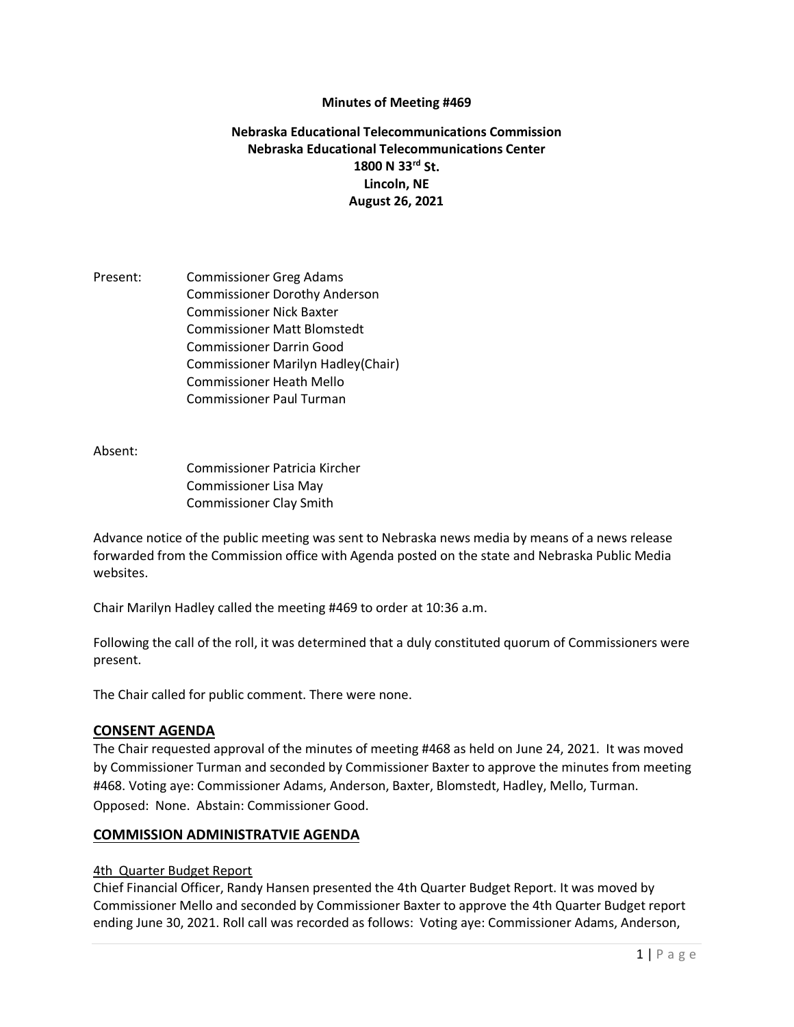#### **Minutes of Meeting #469**

### **Nebraska Educational Telecommunications Commission Nebraska Educational Telecommunications Center 1800 N 33rd St. Lincoln, NE August 26, 2021**

Present: Commissioner Greg Adams Commissioner Dorothy Anderson Commissioner Nick Baxter Commissioner Matt Blomstedt Commissioner Darrin Good Commissioner Marilyn Hadley(Chair) Commissioner Heath Mello Commissioner Paul Turman

Absent:

Commissioner Patricia Kircher Commissioner Lisa May Commissioner Clay Smith

Advance notice of the public meeting was sent to Nebraska news media by means of a news release forwarded from the Commission office with Agenda posted on the state and Nebraska Public Media websites.

Chair Marilyn Hadley called the meeting #469 to order at 10:36 a.m.

Following the call of the roll, it was determined that a duly constituted quorum of Commissioners were present.

The Chair called for public comment. There were none.

#### **CONSENT AGENDA**

The Chair requested approval of the minutes of meeting #468 as held on June 24, 2021. It was moved by Commissioner Turman and seconded by Commissioner Baxter to approve the minutes from meeting #468. Voting aye: Commissioner Adams, Anderson, Baxter, Blomstedt, Hadley, Mello, Turman. Opposed: None. Abstain: Commissioner Good.

#### **COMMISSION ADMINISTRATVIE AGENDA**

#### 4th Quarter Budget Report

Chief Financial Officer, Randy Hansen presented the 4th Quarter Budget Report. It was moved by Commissioner Mello and seconded by Commissioner Baxter to approve the 4th Quarter Budget report ending June 30, 2021. Roll call was recorded as follows: Voting aye: Commissioner Adams, Anderson,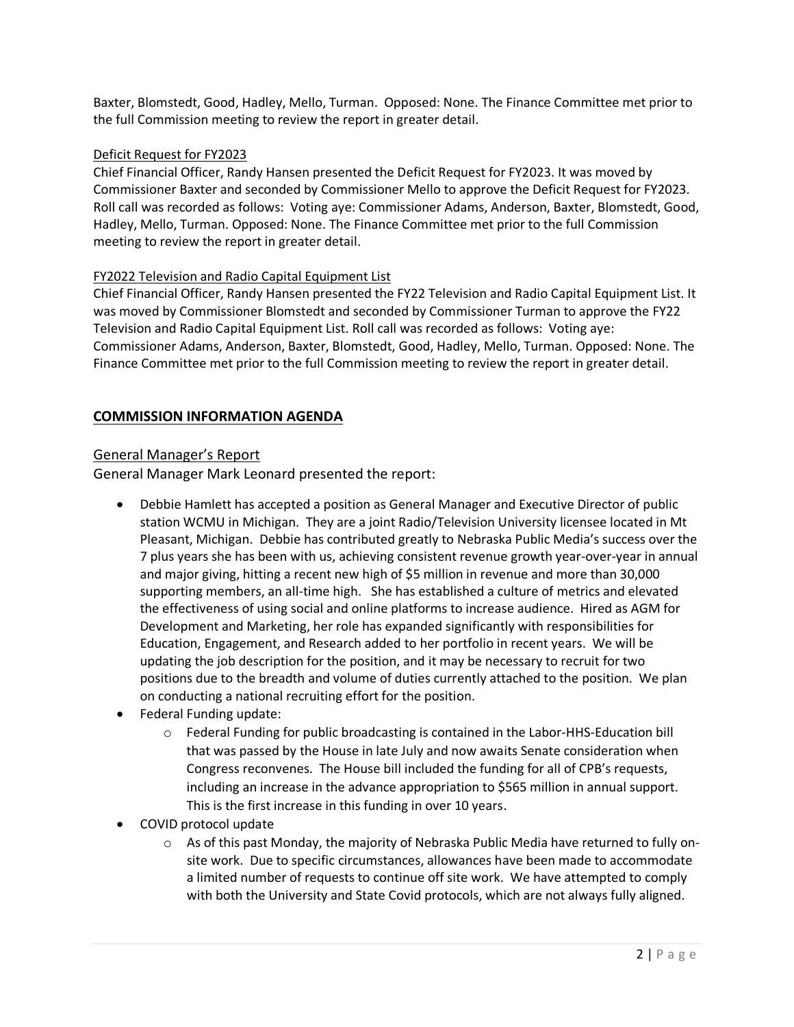Baxter, Blomstedt, Good, Hadley, Mello, Turman. Opposed: None. The Finance Committee met prior to the full Commission meeting to review the report in greater detail.

### Deficit Request for FY2023

Chief Financial Officer, Randy Hansen presented the Deficit Request for FY2023. It was moved by Commissioner Baxter and seconded by Commissioner Mello to approve the Deficit Request for FY2023. Roll call was recorded as follows: Voting aye: Commissioner Adams, Anderson, Baxter, Blomstedt, Good, Hadley, Mello, Turman. Opposed: None. The Finance Committee met prior to the full Commission meeting to review the report in greater detail.

### FY2022 Television and Radio Capital Equipment List

Chief Financial Officer, Randy Hansen presented the FY22 Television and Radio Capital Equipment List. It was moved by Commissioner Blomstedt and seconded by Commissioner Turman to approve the FY22 Television and Radio Capital Equipment List. Roll call was recorded as follows: Voting aye: Commissioner Adams, Anderson, Baxter, Blomstedt, Good, Hadley, Mello, Turman. Opposed: None. The Finance Committee met prior to the full Commission meeting to review the report in greater detail.

# **COMMISSION INFORMATION AGENDA**

# General Manager's Report

General Manager Mark Leonard presented the report:

- Debbie Hamlett has accepted a position as General Manager and Executive Director of public station WCMU in Michigan. They are a joint Radio/Television University licensee located in Mt Pleasant, Michigan. Debbie has contributed greatly to Nebraska Public Media's success over the 7 plus years she has been with us, achieving consistent revenue growth year-over-year in annual and major giving, hitting a recent new high of \$5 million in revenue and more than 30,000 supporting members, an all-time high. She has established a culture of metrics and elevated the effectiveness of using social and online platforms to increase audience. Hired as AGM for Development and Marketing, her role has expanded significantly with responsibilities for Education, Engagement, and Research added to her portfolio in recent years. We will be updating the job description for the position, and it may be necessary to recruit for two positions due to the breadth and volume of duties currently attached to the position. We plan on conducting a national recruiting effort for the position.
- Federal Funding update:
	- o Federal Funding for public broadcasting is contained in the Labor-HHS-Education bill that was passed by the House in late July and now awaits Senate consideration when Congress reconvenes. The House bill included the funding for all of CPB's requests, including an increase in the advance appropriation to \$565 million in annual support. This is the first increase in this funding in over 10 years.
- COVID protocol update
	- $\circ$  As of this past Monday, the majority of Nebraska Public Media have returned to fully onsite work. Due to specific circumstances, allowances have been made to accommodate a limited number of requests to continue off site work. We have attempted to comply with both the University and State Covid protocols, which are not always fully aligned.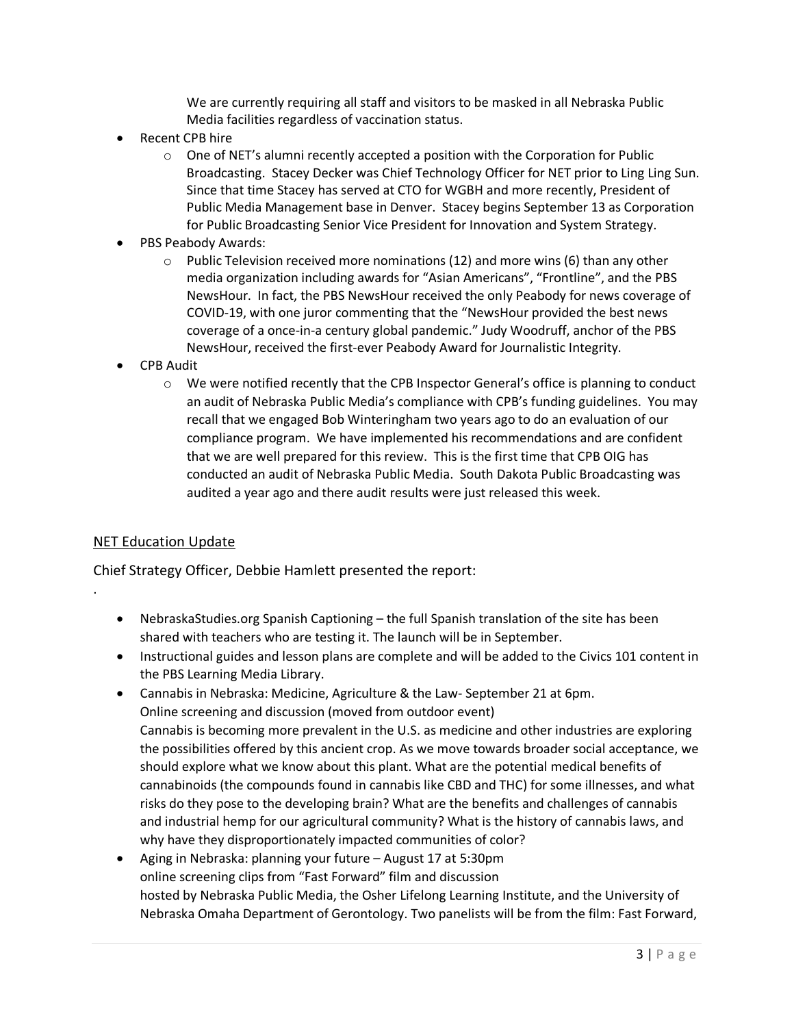We are currently requiring all staff and visitors to be masked in all Nebraska Public Media facilities regardless of vaccination status.

- Recent CPB hire
	- $\circ$  One of NET's alumni recently accepted a position with the Corporation for Public Broadcasting. Stacey Decker was Chief Technology Officer for NET prior to Ling Ling Sun. Since that time Stacey has served at CTO for WGBH and more recently, President of Public Media Management base in Denver. Stacey begins September 13 as Corporation for Public Broadcasting Senior Vice President for Innovation and System Strategy.
- PBS Peabody Awards:
	- $\circ$  Public Television received more nominations (12) and more wins (6) than any other media organization including awards for "Asian Americans", "Frontline", and the PBS NewsHour. In fact, the PBS NewsHour received the only Peabody for news coverage of COVID-19, with one juror commenting that the "NewsHour provided the best news coverage of a once-in-a century global pandemic." Judy Woodruff, anchor of the PBS NewsHour, received the first-ever Peabody Award for Journalistic Integrity.
- CPB Audit
	- o We were notified recently that the CPB Inspector General's office is planning to conduct an audit of Nebraska Public Media's compliance with CPB's funding guidelines. You may recall that we engaged Bob Winteringham two years ago to do an evaluation of our compliance program. We have implemented his recommendations and are confident that we are well prepared for this review. This is the first time that CPB OIG has conducted an audit of Nebraska Public Media. South Dakota Public Broadcasting was audited a year ago and there audit results were just released this week.

# NET Education Update

.

Chief Strategy Officer, Debbie Hamlett presented the report:

- NebraskaStudies.org Spanish Captioning the full Spanish translation of the site has been shared with teachers who are testing it. The launch will be in September.
- Instructional guides and lesson plans are complete and will be added to the Civics 101 content in the PBS Learning Media Library.
- Cannabis in Nebraska: Medicine, Agriculture & the Law- September 21 at 6pm. Online screening and discussion (moved from outdoor event) Cannabis is becoming more prevalent in the U.S. as medicine and other industries are exploring the possibilities offered by this ancient crop. As we move towards broader social acceptance, we should explore what we know about this plant. What are the potential medical benefits of cannabinoids (the compounds found in cannabis like CBD and THC) for some illnesses, and what risks do they pose to the developing brain? What are the benefits and challenges of cannabis and industrial hemp for our agricultural community? What is the history of cannabis laws, and why have they disproportionately impacted communities of color?
- Aging in Nebraska: planning your future August 17 at 5:30pm online screening clips from "Fast Forward" film and discussion hosted by Nebraska Public Media, the Osher Lifelong Learning Institute, and the University of Nebraska Omaha Department of Gerontology. Two panelists will be from the film: Fast Forward,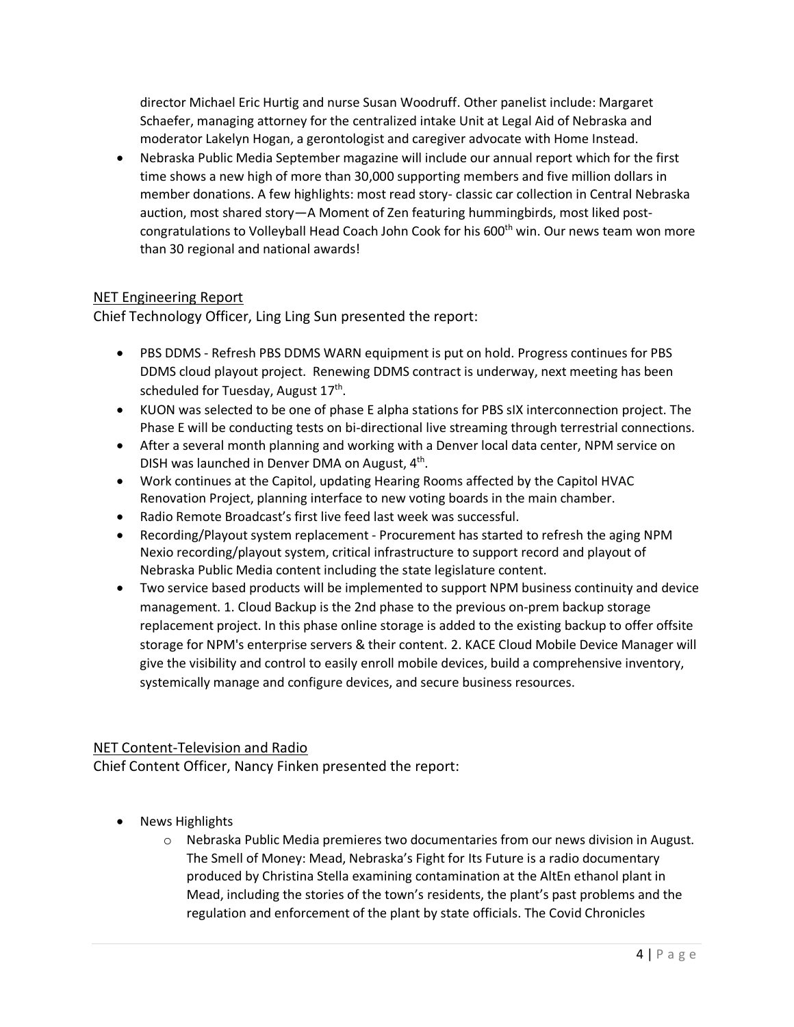director Michael Eric Hurtig and nurse Susan Woodruff. Other panelist include: Margaret Schaefer, managing attorney for the centralized intake Unit at Legal Aid of Nebraska and moderator Lakelyn Hogan, a gerontologist and caregiver advocate with Home Instead.

• Nebraska Public Media September magazine will include our annual report which for the first time shows a new high of more than 30,000 supporting members and five million dollars in member donations. A few highlights: most read story- classic car collection in Central Nebraska auction, most shared story—A Moment of Zen featuring hummingbirds, most liked postcongratulations to Volleyball Head Coach John Cook for his 600<sup>th</sup> win. Our news team won more than 30 regional and national awards!

# NET Engineering Report

Chief Technology Officer, Ling Ling Sun presented the report:

- PBS DDMS Refresh PBS DDMS WARN equipment is put on hold. Progress continues for PBS DDMS cloud playout project. Renewing DDMS contract is underway, next meeting has been scheduled for Tuesday, August 17<sup>th</sup>.
- KUON was selected to be one of phase E alpha stations for PBS sIX interconnection project. The Phase E will be conducting tests on bi-directional live streaming through terrestrial connections.
- After a several month planning and working with a Denver local data center, NPM service on DISH was launched in Denver DMA on August, 4<sup>th</sup>.
- Work continues at the Capitol, updating Hearing Rooms affected by the Capitol HVAC Renovation Project, planning interface to new voting boards in the main chamber.
- Radio Remote Broadcast's first live feed last week was successful.
- Recording/Playout system replacement Procurement has started to refresh the aging NPM Nexio recording/playout system, critical infrastructure to support record and playout of Nebraska Public Media content including the state legislature content.
- Two service based products will be implemented to support NPM business continuity and device management. 1. Cloud Backup is the 2nd phase to the previous on-prem backup storage replacement project. In this phase online storage is added to the existing backup to offer offsite storage for NPM's enterprise servers & their content. 2. KACE Cloud Mobile Device Manager will give the visibility and control to easily enroll mobile devices, build a comprehensive inventory, systemically manage and configure devices, and secure business resources.

# NET Content-Television and Radio

Chief Content Officer, Nancy Finken presented the report:

- News Highlights
	- o Nebraska Public Media premieres two documentaries from our news division in August. The Smell of Money: Mead, Nebraska's Fight for Its Future is a radio documentary produced by Christina Stella examining contamination at the AltEn ethanol plant in Mead, including the stories of the town's residents, the plant's past problems and the regulation and enforcement of the plant by state officials. The Covid Chronicles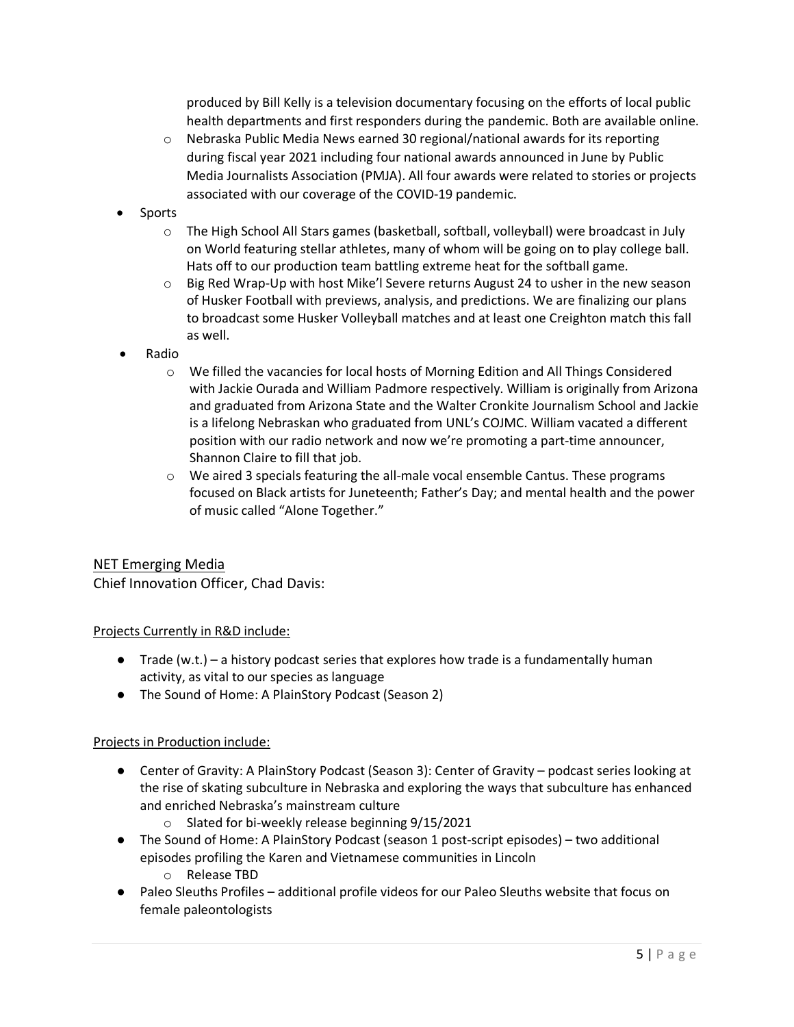produced by Bill Kelly is a television documentary focusing on the efforts of local public health departments and first responders during the pandemic. Both are available online.

- $\circ$  Nebraska Public Media News earned 30 regional/national awards for its reporting during fiscal year 2021 including four national awards announced in June by Public Media Journalists Association (PMJA). All four awards were related to stories or projects associated with our coverage of the COVID-19 pandemic.
- **Sports** 
	- o The High School All Stars games (basketball, softball, volleyball) were broadcast in July on World featuring stellar athletes, many of whom will be going on to play college ball. Hats off to our production team battling extreme heat for the softball game.
	- $\circ$  Big Red Wrap-Up with host Mike'l Severe returns August 24 to usher in the new season of Husker Football with previews, analysis, and predictions. We are finalizing our plans to broadcast some Husker Volleyball matches and at least one Creighton match this fall as well.
- Radio
	- $\circ$  We filled the vacancies for local hosts of Morning Edition and All Things Considered with Jackie Ourada and William Padmore respectively. William is originally from Arizona and graduated from Arizona State and the Walter Cronkite Journalism School and Jackie is a lifelong Nebraskan who graduated from UNL's COJMC. William vacated a different position with our radio network and now we're promoting a part-time announcer, Shannon Claire to fill that job.
	- o We aired 3 specials featuring the all-male vocal ensemble Cantus. These programs focused on Black artists for Juneteenth; Father's Day; and mental health and the power of music called "Alone Together."

# NET Emerging Media Chief Innovation Officer, Chad Davis:

#### Projects Currently in R&D include:

- $\bullet$  Trade (w.t.) a history podcast series that explores how trade is a fundamentally human activity, as vital to our species as language
- The Sound of Home: A PlainStory Podcast (Season 2)

#### Projects in Production include:

- Center of Gravity: A PlainStory Podcast (Season 3): Center of Gravity podcast series looking at the rise of skating subculture in Nebraska and exploring the ways that subculture has enhanced and enriched Nebraska's mainstream culture
	- o Slated for bi-weekly release beginning 9/15/2021
- The Sound of Home: A PlainStory Podcast (season 1 post-script episodes) two additional episodes profiling the Karen and Vietnamese communities in Lincoln
	- o Release TBD
- Paleo Sleuths Profiles additional profile videos for our Paleo Sleuths website that focus on female paleontologists